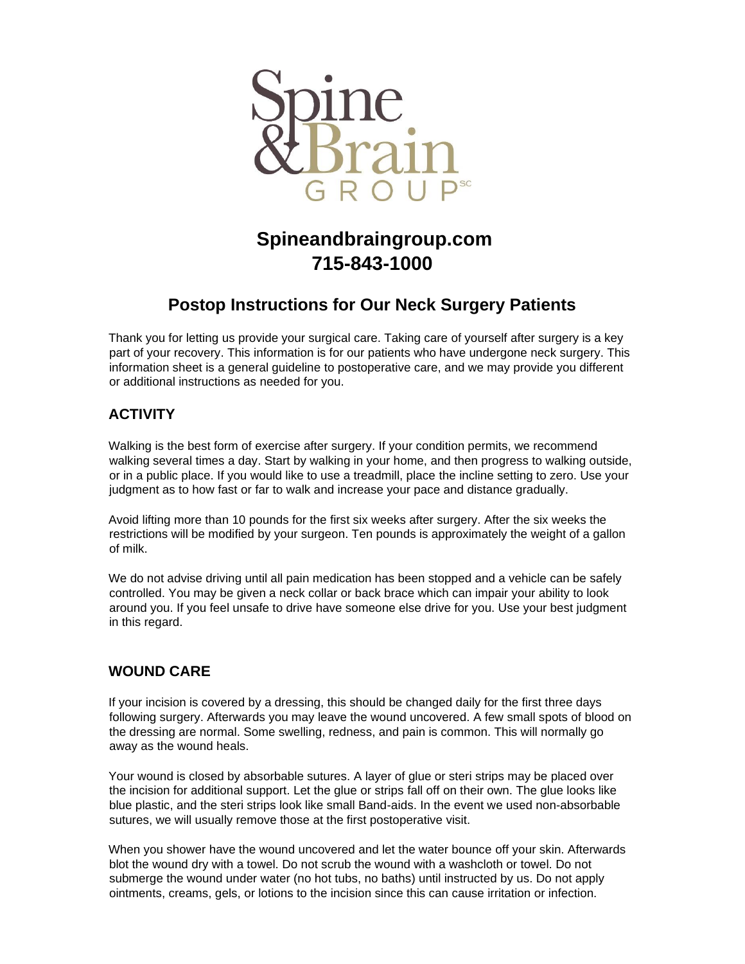

# **Spineandbraingroup.com 715-843-1000**

# **Postop Instructions for Our Neck Surgery Patients**

Thank you for letting us provide your surgical care. Taking care of yourself after surgery is a key part of your recovery. This information is for our patients who have undergone neck surgery. This information sheet is a general guideline to postoperative care, and we may provide you different or additional instructions as needed for you.

# **ACTIVITY**

Walking is the best form of exercise after surgery. If your condition permits, we recommend walking several times a day. Start by walking in your home, and then progress to walking outside, or in a public place. If you would like to use a treadmill, place the incline setting to zero. Use your judgment as to how fast or far to walk and increase your pace and distance gradually.

Avoid lifting more than 10 pounds for the first six weeks after surgery. After the six weeks the restrictions will be modified by your surgeon. Ten pounds is approximately the weight of a gallon of milk.

We do not advise driving until all pain medication has been stopped and a vehicle can be safely controlled. You may be given a neck collar or back brace which can impair your ability to look around you. If you feel unsafe to drive have someone else drive for you. Use your best judgment in this regard.

## **WOUND CARE**

If your incision is covered by a dressing, this should be changed daily for the first three days following surgery. Afterwards you may leave the wound uncovered. A few small spots of blood on the dressing are normal. Some swelling, redness, and pain is common. This will normally go away as the wound heals.

Your wound is closed by absorbable sutures. A layer of glue or steri strips may be placed over the incision for additional support. Let the glue or strips fall off on their own. The glue looks like blue plastic, and the steri strips look like small Band-aids. In the event we used non-absorbable sutures, we will usually remove those at the first postoperative visit.

When you shower have the wound uncovered and let the water bounce off your skin. Afterwards blot the wound dry with a towel. Do not scrub the wound with a washcloth or towel. Do not submerge the wound under water (no hot tubs, no baths) until instructed by us. Do not apply ointments, creams, gels, or lotions to the incision since this can cause irritation or infection.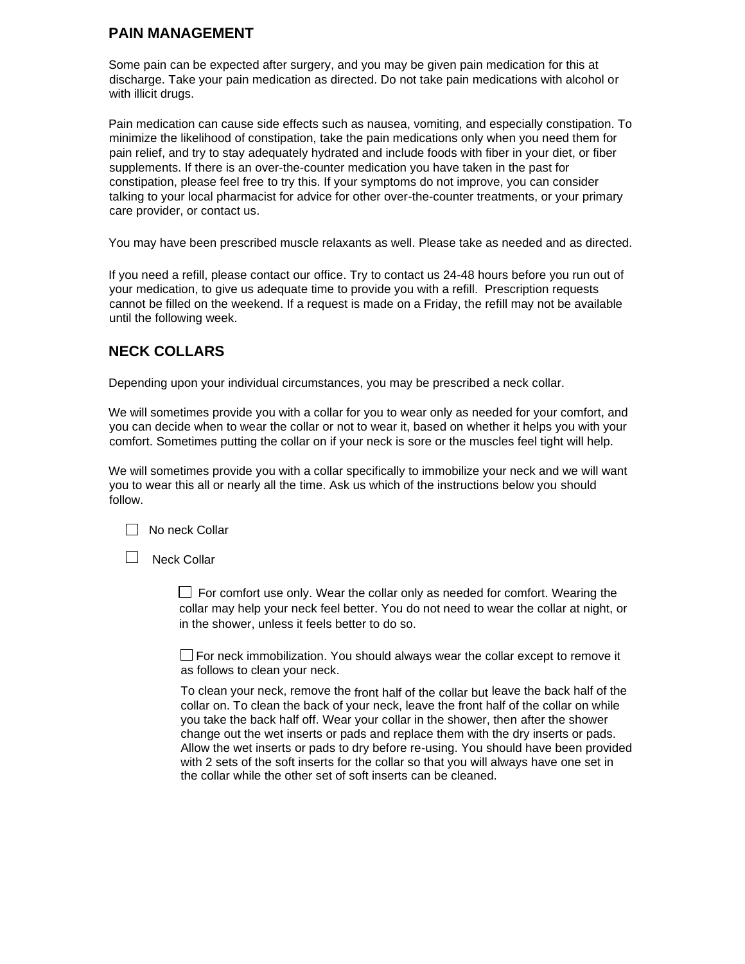### **PAIN MANAGEMENT**

Some pain can be expected after surgery, and you may be given pain medication for this at discharge. Take your pain medication as directed. Do not take pain medications with alcohol or with illicit drugs.

Pain medication can cause side effects such as nausea, vomiting, and especially constipation. To minimize the likelihood of constipation, take the pain medications only when you need them for pain relief, and try to stay adequately hydrated and include foods with fiber in your diet, or fiber supplements. If there is an over-the-counter medication you have taken in the past for constipation, please feel free to try this. If your symptoms do not improve, you can consider talking to your local pharmacist for advice for other over-the-counter treatments, or your primary care provider, or contact us.

You may have been prescribed muscle relaxants as well. Please take as needed and as directed.

If you need a refill, please contact our office. Try to contact us 24-48 hours before you run out of your medication, to give us adequate time to provide you with a refill. Prescription requests cannot be filled on the weekend. If a request is made on a Friday, the refill may not be available until the following week.

### **NECK COLLARS**

Depending upon your individual circumstances, you may be prescribed a neck collar.

We will sometimes provide you with a collar for you to wear only as needed for your comfort, and you can decide when to wear the collar or not to wear it, based on whether it helps you with your comfort. Sometimes putting the collar on if your neck is sore or the muscles feel tight will help.

We will sometimes provide you with a collar specifically to immobilize your neck and we will want you to wear this all or nearly all the time. Ask us which of the instructions below you should follow.



 $\Box$  Neck Collar

 $\Box$  For comfort use only. Wear the collar only as needed for comfort. Wearing the collar may help your neck feel better. You do not need to wear the collar at night, or in the shower, unless it feels better to do so.

 $\Box$  For neck immobilization. You should always wear the collar except to remove it as follows to clean your neck.

To clean your neck, remove the front half of the collar but leave the back half of the collar on. To clean the back of your neck, leave the front half of the collar on while you take the back half off. Wear your collar in the shower, then after the shower change out the wet inserts or pads and replace them with the dry inserts or pads. Allow the wet inserts or pads to dry before re-using. You should have been provided with 2 sets of the soft inserts for the collar so that you will always have one set in the collar while the other set of soft inserts can be cleaned.